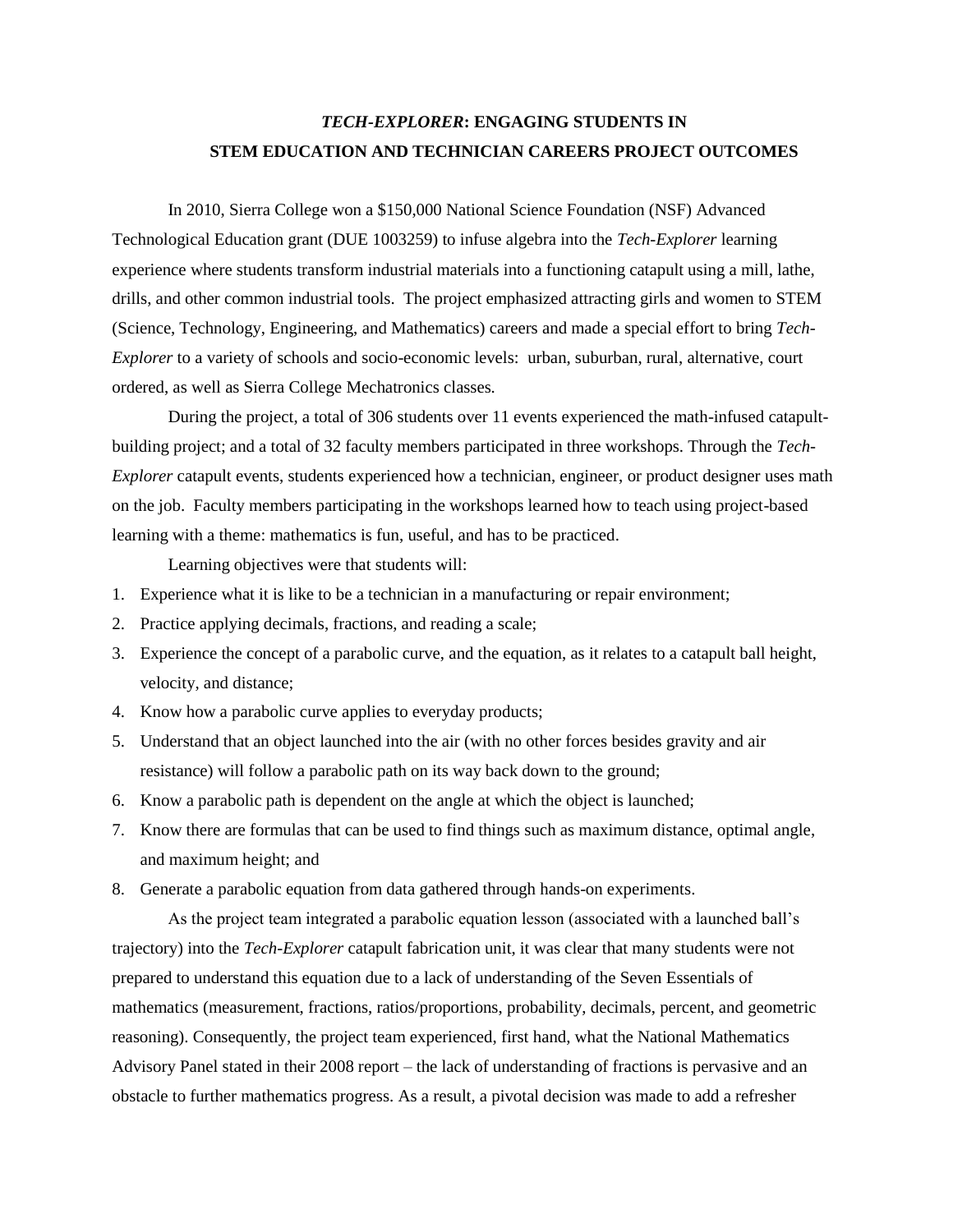## *TECH-EXPLORER***: ENGAGING STUDENTS IN STEM EDUCATION AND TECHNICIAN CAREERS PROJECT OUTCOMES**

In 2010, Sierra College won a \$150,000 National Science Foundation (NSF) Advanced Technological Education grant (DUE 1003259) to infuse algebra into the *Tech-Explorer* learning experience where students transform industrial materials into a functioning catapult using a mill, lathe, drills, and other common industrial tools. The project emphasized attracting girls and women to STEM (Science, Technology, Engineering, and Mathematics) careers and made a special effort to bring *Tech-Explorer* to a variety of schools and socio-economic levels: urban, suburban, rural, alternative, court ordered, as well as Sierra College Mechatronics classes.

During the project, a total of 306 students over 11 events experienced the math-infused catapultbuilding project; and a total of 32 faculty members participated in three workshops. Through the *Tech-Explorer* catapult events, students experienced how a technician, engineer, or product designer uses math on the job. Faculty members participating in the workshops learned how to teach using project-based learning with a theme: mathematics is fun, useful, and has to be practiced.

Learning objectives were that students will:

- 1. Experience what it is like to be a technician in a manufacturing or repair environment;
- 2. Practice applying decimals, fractions, and reading a scale;
- 3. Experience the concept of a parabolic curve, and the equation, as it relates to a catapult ball height, velocity, and distance;
- 4. Know how a parabolic curve applies to everyday products;
- 5. Understand that an object launched into the air (with no other forces besides gravity and air resistance) will follow a parabolic path on its way back down to the ground;
- 6. Know a parabolic path is dependent on the angle at which the object is launched;
- 7. Know there are formulas that can be used to find things such as maximum distance, optimal angle, and maximum height; and
- 8. Generate a parabolic equation from data gathered through hands-on experiments.

As the project team integrated a parabolic equation lesson (associated with a launched ball's trajectory) into the *Tech-Explorer* catapult fabrication unit, it was clear that many students were not prepared to understand this equation due to a lack of understanding of the Seven Essentials of mathematics (measurement, fractions, ratios/proportions, probability, decimals, percent, and geometric reasoning). Consequently, the project team experienced, first hand, what the National Mathematics Advisory Panel stated in their 2008 report – the lack of understanding of fractions is pervasive and an obstacle to further mathematics progress. As a result, a pivotal decision was made to add a refresher